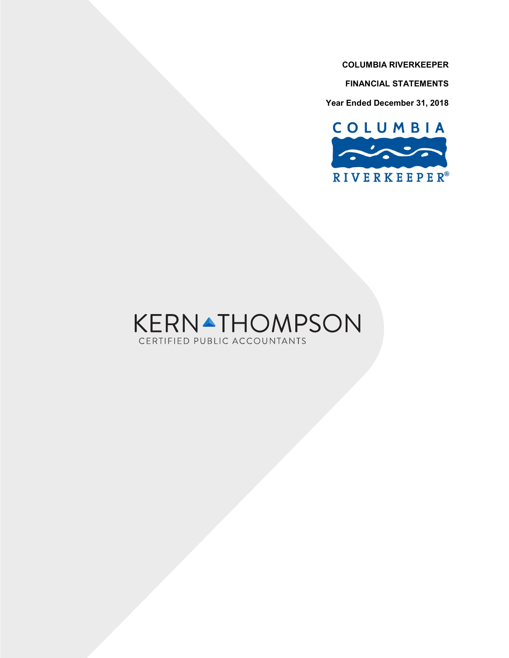**FINANCIAL STATEMENTS**

**Year Ended December 31, 2018**



# **KERNATHOMPSON** CERTIFIED PUBLIC ACCOUNTANTS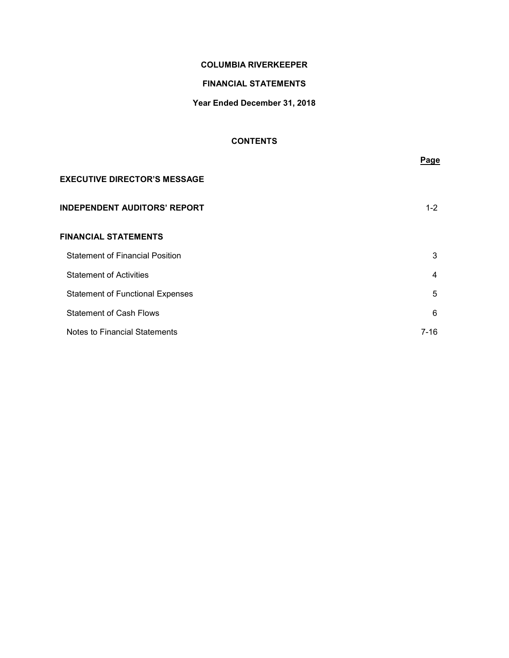# **FINANCIAL STATEMENTS**

# **Year Ended December 31, 2018**

# **CONTENTS**

|                                         | Page    |
|-----------------------------------------|---------|
| <b>EXECUTIVE DIRECTOR'S MESSAGE</b>     |         |
| <b>INDEPENDENT AUDITORS' REPORT</b>     | $1 - 2$ |
| <b>FINANCIAL STATEMENTS</b>             |         |
| <b>Statement of Financial Position</b>  | 3       |
| <b>Statement of Activities</b>          | 4       |
| <b>Statement of Functional Expenses</b> | 5       |
| <b>Statement of Cash Flows</b>          | 6       |
| Notes to Financial Statements           | 7-16    |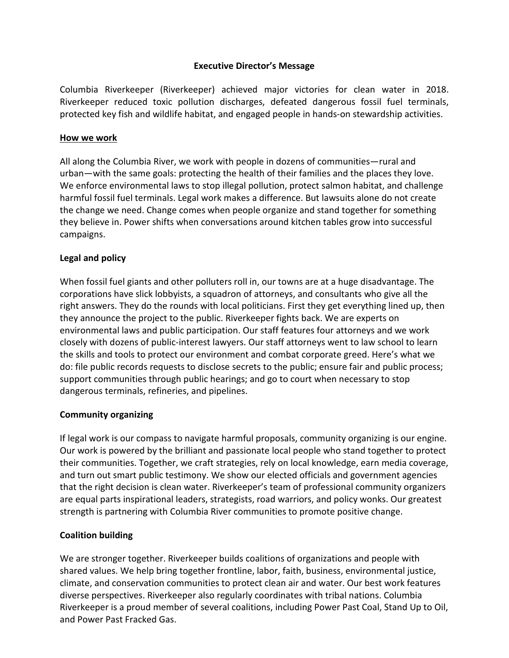# **Executive Director's Message**

Columbia Riverkeeper (Riverkeeper) achieved major victories for clean water in 2018. Riverkeeper reduced toxic pollution discharges, defeated dangerous fossil fuel terminals, protected key fish and wildlife habitat, and engaged people in hands-on stewardship activities.

# **How we work**

All along the Columbia River, we work with people in dozens of communities—rural and urban—with the same goals: protecting the health of their families and the places they love. We enforce environmental laws to stop illegal pollution, protect salmon habitat, and challenge harmful fossil fuel terminals. Legal work makes a difference. But lawsuits alone do not create the change we need. Change comes when people organize and stand together for something they believe in. Power shifts when conversations around kitchen tables grow into successful campaigns.

# **Legal and policy**

When fossil fuel giants and other polluters roll in, our towns are at a huge disadvantage. The corporations have slick lobbyists, a squadron of attorneys, and consultants who give all the right answers. They do the rounds with local politicians. First they get everything lined up, then they announce the project to the public. Riverkeeper fights back. We are experts on environmental laws and public participation. Our staff features four attorneys and we work closely with dozens of public-interest lawyers. Our staff attorneys went to law school to learn the skills and tools to protect our environment and combat corporate greed. Here's what we do: file public records requests to disclose secrets to the public; ensure fair and public process; support communities through public hearings; and go to court when necessary to stop dangerous terminals, refineries, and pipelines.

# **Community organizing**

If legal work is our compass to navigate harmful proposals, community organizing is our engine. Our work is powered by the brilliant and passionate local people who stand together to protect their communities. Together, we craft strategies, rely on local knowledge, earn media coverage, and turn out smart public testimony. We show our elected officials and government agencies that the right decision is clean water. Riverkeeper's team of professional community organizers are equal parts inspirational leaders, strategists, road warriors, and policy wonks. Our greatest strength is partnering with Columbia River communities to promote positive change.

# **Coalition building**

We are stronger together. Riverkeeper builds coalitions of organizations and people with shared values. We help bring together frontline, labor, faith, business, environmental justice, climate, and conservation communities to protect clean air and water. Our best work features diverse perspectives. Riverkeeper also regularly coordinates with tribal nations. Columbia Riverkeeper is a proud member of several coalitions, including Power Past Coal, Stand Up to Oil, and Power Past Fracked Gas.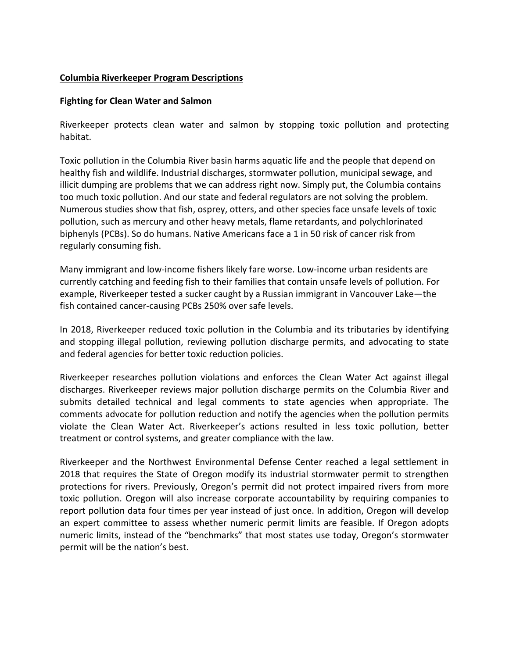# **Columbia Riverkeeper Program Descriptions**

# **Fighting for Clean Water and Salmon**

Riverkeeper protects clean water and salmon by stopping toxic pollution and protecting habitat.

Toxic pollution in the Columbia River basin harms aquatic life and the people that depend on healthy fish and wildlife. Industrial discharges, stormwater pollution, municipal sewage, and illicit dumping are problems that we can address right now. Simply put, the Columbia contains too much toxic pollution. And our state and federal regulators are not solving the problem. Numerous studies show that fish, osprey, otters, and other species face unsafe levels of toxic pollution, such as mercury and other heavy metals, flame retardants, and polychlorinated biphenyls (PCBs). So do humans. Native Americans face a 1 in 50 risk of cancer risk from regularly consuming fish.

Many immigrant and low-income fishers likely fare worse. Low-income urban residents are currently catching and feeding fish to their families that contain unsafe levels of pollution. For example, Riverkeeper tested a sucker caught by a Russian immigrant in Vancouver Lake—the fish contained cancer-causing PCBs 250% over safe levels.

In 2018, Riverkeeper reduced toxic pollution in the Columbia and its tributaries by identifying and stopping illegal pollution, reviewing pollution discharge permits, and advocating to state and federal agencies for better toxic reduction policies.

Riverkeeper researches pollution violations and enforces the Clean Water Act against illegal discharges. Riverkeeper reviews major pollution discharge permits on the Columbia River and submits detailed technical and legal comments to state agencies when appropriate. The comments advocate for pollution reduction and notify the agencies when the pollution permits violate the Clean Water Act. Riverkeeper's actions resulted in less toxic pollution, better treatment or control systems, and greater compliance with the law.

Riverkeeper and the Northwest Environmental Defense Center reached a legal settlement in 2018 that requires the State of Oregon modify its industrial stormwater permit to strengthen protections for rivers. Previously, Oregon's permit did not protect impaired rivers from more toxic pollution. Oregon will also increase corporate accountability by requiring companies to report pollution data four times per year instead of just once. In addition, Oregon will develop an expert committee to assess whether numeric permit limits are feasible. If Oregon adopts numeric limits, instead of the "benchmarks" that most states use today, Oregon's stormwater permit will be the nation's best.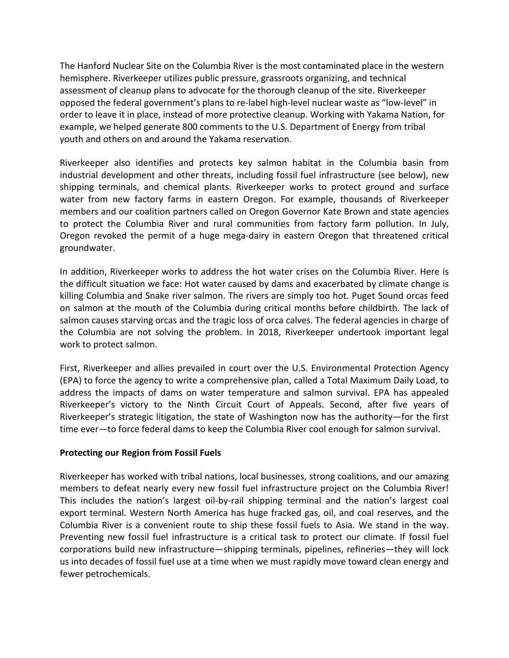The Hanford Nuclear Site on the Columbia River is the most contaminated place in the western hemisphere. Riverkeeper utilizes public pressure, grassroots organizing, and technical assessment of cleanup plans to advocate for the thorough cleanup of the site. Riverkeeper opposed the federal government's plans to re-label high-level nuclear waste as "low-level" in order to leave it in place, instead of more protective cleanup. Working with Yakama Nation, for example, we helped generate 800 comments to the U.S. Department of Energy from tribal youth and others on and around the Yakama reservation.

Riverkeeper also identifies and protects key salmon habitat in the Columbia basin from industrial development and other threats, including fossil fuel infrastructure (see below), new shipping terminals, and chemical plants. Riverkeeper works to protect ground and surface water from new factory farms in eastern Oregon. For example, thousands of Riverkeeper members and our coalition partners called on Oregon Governor Kate Brown and state agencies to protect the Columbia River and rural communities from factory farm pollution. In July, Oregon revoked the permit of a huge mega-dairy in eastern Oregon that threatened critical groundwater.

In addition, Riverkeeper works to address the hot water crises on the Columbia River. Here is the difficult situation we face: Hot water caused by dams and exacerbated by climate change is killing Columbia and Snake river salmon. The rivers are simply too hot. Puget Sound orcas feed on salmon at the mouth of the Columbia during critical months before childbirth. The lack of salmon causes starving orcas and the tragic loss of orca calves. The federal agencies in charge of the Columbia are not solving the problem. In 2018, Riverkeeper undertook important legal work to protect salmon.

First, Riverkeeper and allies prevailed in court over the U.S. Environmental Protection Agency (EPA) to force the agency to write a comprehensive plan, called a Total Maximum Daily Load, to address the impacts of dams on water temperature and salmon survival. EPA has appealed Riverkeeper's victory to the Ninth Circuit Court of Appeals. Second, after five years of Riverkeeper's strategic litigation, the state of Washington now has the authority—for the first time ever—to force federal dams to keep the Columbia River cool enough for salmon survival.

# **Protecting our Region from Fossil Fuels**

Riverkeeper has worked with tribal nations, local businesses, strong coalitions, and our amazing members to defeat nearly every new fossil fuel infrastructure project on the Columbia River! This includes the nation's largest oil-by-rail shipping terminal and the nation's largest coal export terminal. Western North America has huge fracked gas, oil, and coal reserves, and the Columbia River is a convenient route to ship these fossil fuels to Asia. We stand in the way. Preventing new fossil fuel infrastructure is a critical task to protect our climate. If fossil fuel corporations build new infrastructure—shipping terminals, pipelines, refineries—they will lock us into decades of fossil fuel use at a time when we must rapidly move toward clean energy and fewer petrochemicals.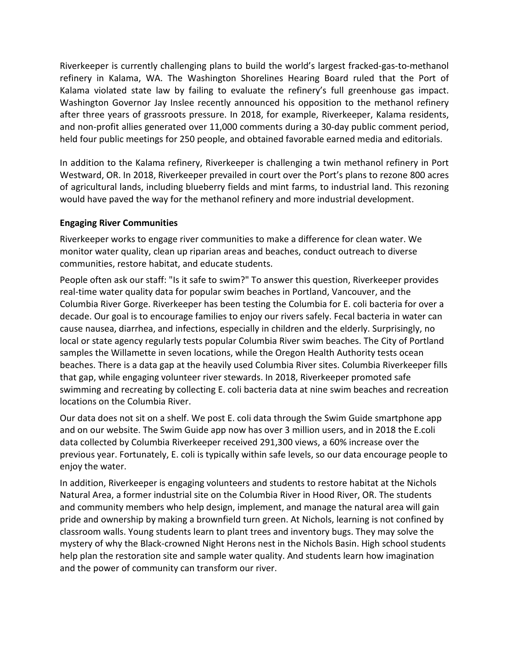Riverkeeper is currently challenging plans to build the world's largest fracked-gas-to-methanol refinery in Kalama, WA. The Washington Shorelines Hearing Board ruled that the Port of Kalama violated state law by failing to evaluate the refinery's full greenhouse gas impact. Washington Governor Jay Inslee recently announced his opposition to the methanol refinery after three years of grassroots pressure. In 2018, for example, Riverkeeper, Kalama residents, and non-profit allies generated over 11,000 comments during a 30-day public comment period, held four public meetings for 250 people, and obtained favorable earned media and editorials.

In addition to the Kalama refinery, Riverkeeper is challenging a twin methanol refinery in Port Westward, OR. In 2018, Riverkeeper prevailed in court over the Port's plans to rezone 800 acres of agricultural lands, including blueberry fields and mint farms, to industrial land. This rezoning would have paved the way for the methanol refinery and more industrial development.

# **Engaging River Communities**

Riverkeeper works to engage river communities to make a difference for clean water. We monitor water quality, clean up riparian areas and beaches, conduct outreach to diverse communities, restore habitat, and educate students.

People often ask our staff: "Is it safe to swim?" To answer this question, Riverkeeper provides real-time water quality data for popular swim beaches in Portland, Vancouver, and the Columbia River Gorge. Riverkeeper has been testing the Columbia for E. coli bacteria for over a decade. Our goal is to encourage families to enjoy our rivers safely. Fecal bacteria in water can cause nausea, diarrhea, and infections, especially in children and the elderly. Surprisingly, no local or state agency regularly tests popular Columbia River swim beaches. The City of Portland samples the Willamette in seven locations, while the Oregon Health Authority tests ocean beaches. There is a data gap at the heavily used Columbia River sites. Columbia Riverkeeper fills that gap, while engaging volunteer river stewards. In 2018, Riverkeeper promoted safe swimming and recreating by collecting E. coli bacteria data at nine swim beaches and recreation locations on the Columbia River.

Our data does not sit on a shelf. We post E. coli data through the Swim Guide smartphone app and on our website. The Swim Guide app now has over 3 million users, and in 2018 the E.coli data collected by Columbia Riverkeeper received 291,300 views, a 60% increase over the previous year. Fortunately, E. coli is typically within safe levels, so our data encourage people to enjoy the water.

In addition, Riverkeeper is engaging volunteers and students to restore habitat at the Nichols Natural Area, a former industrial site on the Columbia River in Hood River, OR. The students and community members who help design, implement, and manage the natural area will gain pride and ownership by making a brownfield turn green. At Nichols, learning is not confined by classroom walls. Young students learn to plant trees and inventory bugs. They may solve the mystery of why the Black-crowned Night Herons nest in the Nichols Basin. High school students help plan the restoration site and sample water quality. And students learn how imagination and the power of community can transform our river.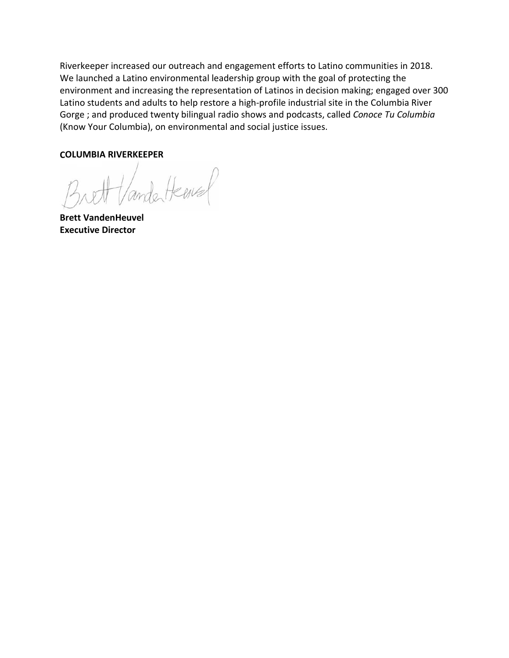Riverkeeper increased our outreach and engagement efforts to Latino communities in 2018. We launched a Latino environmental leadership group with the goal of protecting the environment and increasing the representation of Latinos in decision making; engaged over 300 Latino students and adults to help restore a high-profile industrial site in the Columbia River Gorge ; and produced twenty bilingual radio shows and podcasts, called *Conoce Tu Columbia*  (Know Your Columbia), on environmental and social justice issues.

### **COLUMBIA RIVERKEEPER**

Hander Henry

**Brett VandenHeuvel Executive Director**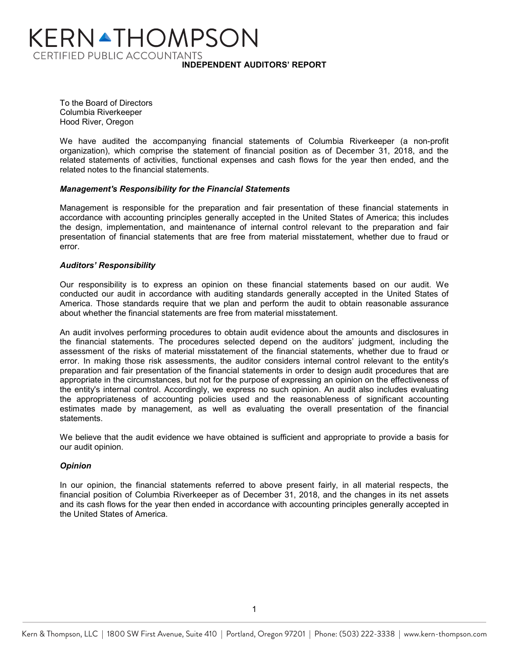# KERN▲THOMPSON **CERTIFIED PUBLIC ACCOUNTANTS INDEPENDENT AUDITORS' REPORT**

To the Board of Directors Columbia Riverkeeper Hood River, Oregon

We have audited the accompanying financial statements of Columbia Riverkeeper (a non-profit organization), which comprise the statement of financial position as of December 31, 2018, and the related statements of activities, functional expenses and cash flows for the year then ended, and the related notes to the financial statements.

### *Management's Responsibility for the Financial Statements*

Management is responsible for the preparation and fair presentation of these financial statements in accordance with accounting principles generally accepted in the United States of America; this includes the design, implementation, and maintenance of internal control relevant to the preparation and fair presentation of financial statements that are free from material misstatement, whether due to fraud or error.

### *Auditors' Responsibility*

Our responsibility is to express an opinion on these financial statements based on our audit. We conducted our audit in accordance with auditing standards generally accepted in the United States of America. Those standards require that we plan and perform the audit to obtain reasonable assurance about whether the financial statements are free from material misstatement.

An audit involves performing procedures to obtain audit evidence about the amounts and disclosures in the financial statements. The procedures selected depend on the auditors' judgment, including the assessment of the risks of material misstatement of the financial statements, whether due to fraud or error. In making those risk assessments, the auditor considers internal control relevant to the entity's preparation and fair presentation of the financial statements in order to design audit procedures that are appropriate in the circumstances, but not for the purpose of expressing an opinion on the effectiveness of the entity's internal control. Accordingly, we express no such opinion. An audit also includes evaluating the appropriateness of accounting policies used and the reasonableness of significant accounting estimates made by management, as well as evaluating the overall presentation of the financial statements.

We believe that the audit evidence we have obtained is sufficient and appropriate to provide a basis for our audit opinion.

### *Opinion*

In our opinion, the financial statements referred to above present fairly, in all material respects, the financial position of Columbia Riverkeeper as of December 31, 2018, and the changes in its net assets and its cash flows for the year then ended in accordance with accounting principles generally accepted in the United States of America.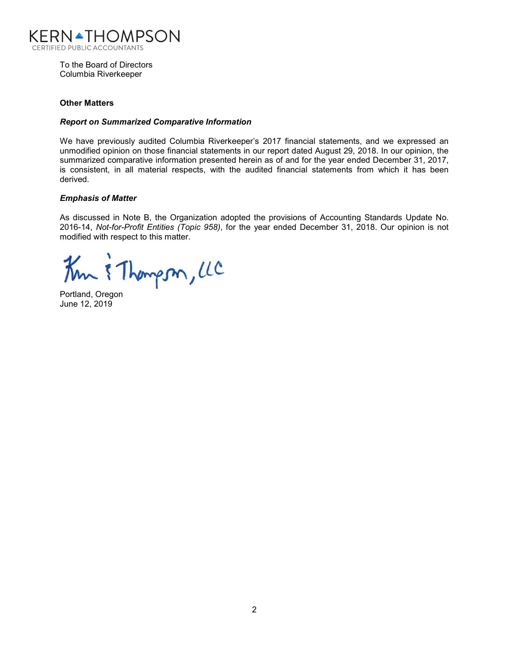

To the Board of Directors Columbia Riverkeeper

### **Other Matters**

### *Report on Summarized Comparative Information*

We have previously audited Columbia Riverkeeper's 2017 financial statements, and we expressed an unmodified opinion on those financial statements in our report dated August 29, 2018. In our opinion, the summarized comparative information presented herein as of and for the year ended December 31, 2017, is consistent, in all material respects, with the audited financial statements from which it has been derived.

### *Emphasis of Matter*

As discussed in Note B, the Organization adopted the provisions of Accounting Standards Update No. 2016-14, *Not-for-Profit Entities (Topic 958)*, for the year ended December 31, 2018. Our opinion is not modified with respect to this matter.

Km & Thompson, LC

Portland, Oregon June 12, 2019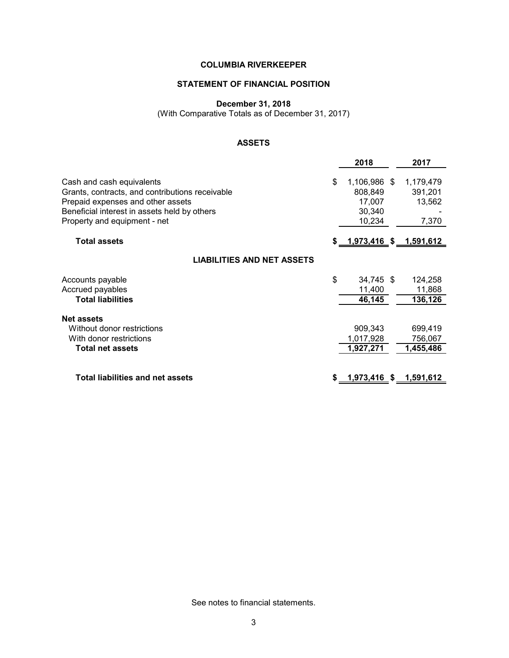### **STATEMENT OF FINANCIAL POSITION**

**December 31, 2018**

(With Comparative Totals as of December 31, 2017)

# **ASSETS**

|                                                                                                                                                                                                   | 2018                                                        | 2017                                    |
|---------------------------------------------------------------------------------------------------------------------------------------------------------------------------------------------------|-------------------------------------------------------------|-----------------------------------------|
| Cash and cash equivalents<br>Grants, contracts, and contributions receivable<br>Prepaid expenses and other assets<br>Beneficial interest in assets held by others<br>Property and equipment - net | \$<br>1,106,986 \$<br>808,849<br>17,007<br>30,340<br>10,234 | 1,179,479<br>391,201<br>13,562<br>7,370 |
| <b>Total assets</b>                                                                                                                                                                               | \$ <u>__1,973,416_\$__1,591,612_</u>                        |                                         |
| <b>LIABILITIES AND NET ASSETS</b>                                                                                                                                                                 |                                                             |                                         |
| Accounts payable<br>Accrued payables<br><b>Total liabilities</b>                                                                                                                                  | \$<br>34,745 \$<br>11,400<br>46,145                         | 124,258<br>11,868<br>136,126            |
| <b>Net assets</b><br>Without donor restrictions<br>With donor restrictions<br><b>Total net assets</b>                                                                                             | 909,343<br>1,017,928<br>1,927,271                           | 699,419<br>756,067<br>1,455,486         |
| <b>Total liabilities and net assets</b>                                                                                                                                                           | <u>1,973,416 \$ 1,591,612 </u>                              |                                         |

See notes to financial statements.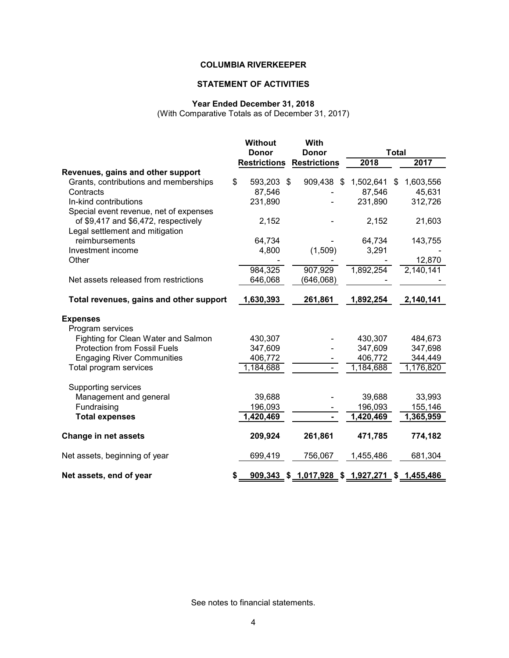# **STATEMENT OF ACTIVITIES**

# **Year Ended December 31, 2018**

(With Comparative Totals as of December 31, 2017)

|                                         | <b>Without</b>      | With                                           |           |                        |
|-----------------------------------------|---------------------|------------------------------------------------|-----------|------------------------|
|                                         | <b>Donor</b>        | <b>Donor</b>                                   |           | <b>Total</b>           |
|                                         | <b>Restrictions</b> | <b>Restrictions</b>                            | 2018      | 2017                   |
| Revenues, gains and other support       |                     |                                                |           |                        |
| Grants, contributions and memberships   | \$<br>593,203 \$    | 909,438 \$                                     | 1,502,641 | 1,603,556<br>\$        |
| Contracts                               | 87,546              |                                                | 87,546    | 45,631                 |
| In-kind contributions                   | 231,890             |                                                | 231,890   | 312,726                |
| Special event revenue, net of expenses  |                     |                                                |           |                        |
| of \$9,417 and \$6,472, respectively    | 2,152               |                                                | 2,152     | 21,603                 |
| Legal settlement and mitigation         |                     |                                                |           |                        |
| reimbursements                          | 64,734              |                                                | 64,734    | 143,755                |
| Investment income                       | 4,800               | (1,509)                                        | 3,291     |                        |
| Other                                   |                     |                                                |           | 12,870                 |
|                                         | 984,325             | 907,929                                        | 1,892,254 | 2,140,141              |
| Net assets released from restrictions   | 646,068             | (646,068)                                      |           |                        |
| Total revenues, gains and other support | 1,630,393           | 261,861                                        | 1,892,254 | 2,140,141              |
| <b>Expenses</b>                         |                     |                                                |           |                        |
| Program services                        |                     |                                                |           |                        |
| Fighting for Clean Water and Salmon     | 430,307             |                                                | 430,307   | 484,673                |
| <b>Protection from Fossil Fuels</b>     | 347,609             |                                                | 347,609   | 347,698                |
| <b>Engaging River Communities</b>       | 406,772             |                                                | 406,772   | 344,449                |
| Total program services                  | 1,184,688           |                                                | 1,184,688 | $\overline{1,}176,820$ |
| Supporting services                     |                     |                                                |           |                        |
| Management and general                  | 39,688              |                                                | 39,688    | 33,993                 |
| Fundraising                             | 196,093             |                                                | 196,093   | 155,146                |
| <b>Total expenses</b>                   | 1,420,469           |                                                | 1,420,469 | 1,365,959              |
| <b>Change in net assets</b>             | 209,924             | 261,861                                        | 471,785   | 774,182                |
| Net assets, beginning of year           | 699,419             | 756,067                                        | 1,455,486 | 681,304                |
| Net assets, end of year                 |                     | 909,343 \$ 1,017,928 \$ 1,927,271 \$ 1,455,486 |           |                        |

See notes to financial statements.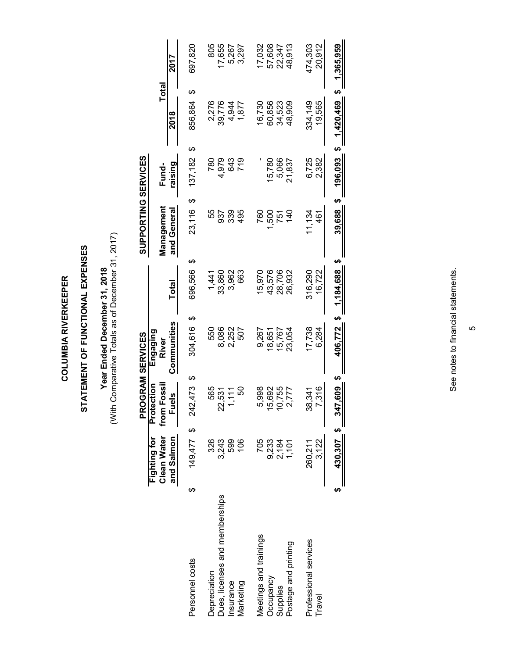**COLUMBIA RIVERKEEPER COLUMBIA RIVERKEEPER**

# STATEMENT OF FUNCTIONAL EXPENSES **STATEMENT OF FUNCTIONAL EXPENSES**

Year Ended December 31, 2018<br>(With Comparative Totals as of December 31, 2017) (With Comparative Totals as of December 31, 2017) **Year Ended December 31, 2018**

|                                |    |                                    |                        |                           | <b>PROGRAM SERVICES</b> |                      | SUPPORTING SERVICES |           |                 |           |
|--------------------------------|----|------------------------------------|------------------------|---------------------------|-------------------------|----------------------|---------------------|-----------|-----------------|-----------|
|                                |    | <b>Clean Water</b><br>Fighting for |                        | from Fossil<br>Protection | Engaging<br>River       |                      | Management          | Fund-     | <b>Total</b>    |           |
|                                |    | and Salmon                         |                        | uels                      | Communities             | Total                | and General         | raising   | 2018            | 2017      |
| Personnel costs                | ക  | 149,477                            | $\boldsymbol{\varphi}$ | 242,473                   | 304,616<br>ക            | ↮<br>696,566<br>ക    | ↔<br>23,116         | 137,182   | ക<br>856,864    | 697,820   |
| Depreciation                   |    | 326                                |                        | 565                       | 550                     | 1,441                | 55                  | 780       | 2,276           | 805       |
| Dues, licenses and memberships |    |                                    |                        | 22,531                    | 8,086                   | 33,860               | 937                 | 4,979     | 39,776          | 17,655    |
| nsurance                       |    | 3,243<br>599                       |                        | 1,111                     | 2,252                   | 3,962                | 339                 | 643       | 4,944           | 5,267     |
| Marketing                      |    | 106                                |                        | င္တ                       | 507                     | 663                  | 495                 | 719       | 1,877           | 3,297     |
| Meetings and trainings         |    | 705                                |                        | 5,998                     | 9,267                   | 15,970               | 760                 |           | 16,730          | 17,032    |
| Occupancy                      |    |                                    |                        | 5,692                     | 18,651                  | 43,576               | 500                 | 15,780    | 60,856          | 57,608    |
| Supplies                       |    | 9,233<br>2,184<br>1,101            |                        | 10,755                    | 15,767                  | 28,706               | 751                 | 5,066     | 34,523          | 22,347    |
| Postage and printing           |    |                                    |                        | 2,777                     | 23,054                  | 26,932               | $\frac{1}{4}$       | 21,837    | 48,909          | 48,913    |
| Professional services          |    | 260,211                            |                        | 38.341                    | 17,738                  | 316,290              | 1,134               | 6,725     | 334,149         | 474,303   |
| Travel                         |    | 3,122                              |                        | 7.316                     | 6,284                   | 6,722                | 461                 | 2.382     | 19,565          | 20.912    |
|                                | မာ | 430,307 \$                         |                        | \$ 609'/25                |                         | 406,772 \$ 1,184,688 | Ø<br>39,688         | 196,093\$ | မာ<br>1,420,469 | 1,365,959 |
|                                |    |                                    |                        |                           |                         |                      |                     |           |                 |           |

See notes to financial statements. See notes to financial statements.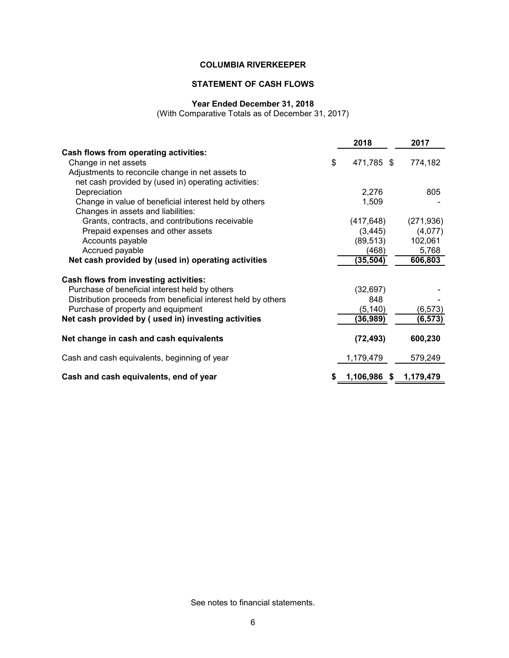# **STATEMENT OF CASH FLOWS**

### **Year Ended December 31, 2018**

(With Comparative Totals as of December 31, 2017)

|                                                               | 2018             | 2017       |
|---------------------------------------------------------------|------------------|------------|
| <b>Cash flows from operating activities:</b>                  |                  |            |
| Change in net assets                                          | \$<br>471,785 \$ | 774,182    |
| Adjustments to reconcile change in net assets to              |                  |            |
| net cash provided by (used in) operating activities:          |                  |            |
| Depreciation                                                  | 2,276            | 805        |
| Change in value of beneficial interest held by others         | 1,509            |            |
| Changes in assets and liabilities:                            |                  |            |
| Grants, contracts, and contributions receivable               | (417, 648)       | (271, 936) |
| Prepaid expenses and other assets                             | (3, 445)         | (4,077)    |
| Accounts payable                                              | (89, 513)        | 102,061    |
| Accrued payable                                               | (468)            | 5,768      |
| Net cash provided by (used in) operating activities           | (35, 504)        | 606,803    |
| Cash flows from investing activities:                         |                  |            |
| Purchase of beneficial interest held by others                | (32, 697)        |            |
| Distribution proceeds from beneficial interest held by others | 848              |            |
| Purchase of property and equipment                            | (5, 140)         | (6, 573)   |
| Net cash provided by (used in) investing activities           | (36, 989)        | (6, 573)   |
|                                                               |                  |            |
| Net change in cash and cash equivalents                       | (72, 493)        | 600,230    |
| Cash and cash equivalents, beginning of year                  | 1,179,479        | 579,249    |
| Cash and cash equivalents, end of year                        | 1,106,986 \$     | 1,179,479  |

See notes to financial statements.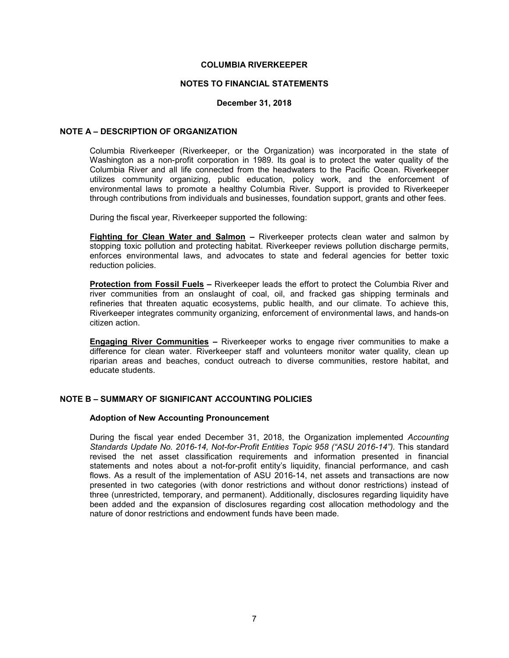### **NOTES TO FINANCIAL STATEMENTS**

### **December 31, 2018**

### **NOTE A – DESCRIPTION OF ORGANIZATION**

Columbia Riverkeeper (Riverkeeper, or the Organization) was incorporated in the state of Washington as a non-profit corporation in 1989. Its goal is to protect the water quality of the Columbia River and all life connected from the headwaters to the Pacific Ocean. Riverkeeper utilizes community organizing, public education, policy work, and the enforcement of environmental laws to promote a healthy Columbia River. Support is provided to Riverkeeper through contributions from individuals and businesses, foundation support, grants and other fees.

During the fiscal year, Riverkeeper supported the following:

**Fighting for Clean Water and Salmon –** Riverkeeper protects clean water and salmon by stopping toxic pollution and protecting habitat. Riverkeeper reviews pollution discharge permits, enforces environmental laws, and advocates to state and federal agencies for better toxic reduction policies.

**Protection from Fossil Fuels –** Riverkeeper leads the effort to protect the Columbia River and river communities from an onslaught of coal, oil, and fracked gas shipping terminals and refineries that threaten aquatic ecosystems, public health, and our climate. To achieve this, Riverkeeper integrates community organizing, enforcement of environmental laws, and hands-on citizen action.

**Engaging River Communities –** Riverkeeper works to engage river communities to make a difference for clean water. Riverkeeper staff and volunteers monitor water quality, clean up riparian areas and beaches, conduct outreach to diverse communities, restore habitat, and educate students.

### **NOTE B – SUMMARY OF SIGNIFICANT ACCOUNTING POLICIES**

### **Adoption of New Accounting Pronouncement**

During the fiscal year ended December 31, 2018, the Organization implemented *Accounting Standards Update No. 2016-14, Not-for-Profit Entities Topic 958 ("ASU 2016-14").* This standard revised the net asset classification requirements and information presented in financial statements and notes about a not-for-profit entity's liquidity, financial performance, and cash flows. As a result of the implementation of ASU 2016-14, net assets and transactions are now presented in two categories (with donor restrictions and without donor restrictions) instead of three (unrestricted, temporary, and permanent). Additionally, disclosures regarding liquidity have been added and the expansion of disclosures regarding cost allocation methodology and the nature of donor restrictions and endowment funds have been made.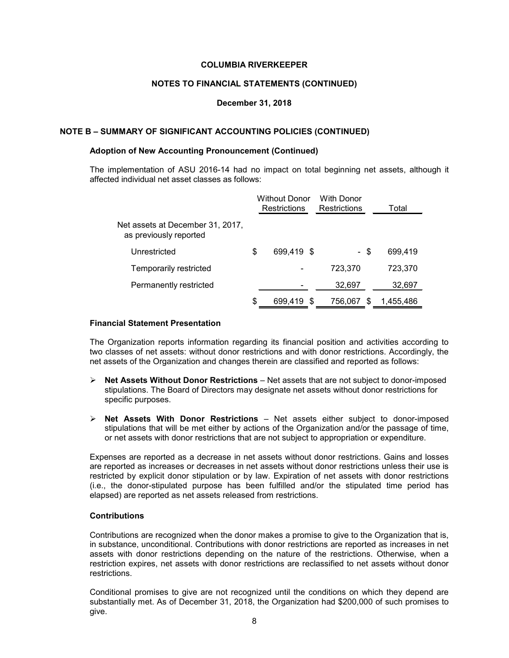### **NOTES TO FINANCIAL STATEMENTS (CONTINUED)**

### **December 31, 2018**

### **NOTE B – SUMMARY OF SIGNIFICANT ACCOUNTING POLICIES (CONTINUED)**

### **Adoption of New Accounting Pronouncement (Continued)**

The implementation of ASU 2016-14 had no impact on total beginning net assets, although it affected individual net asset classes as follows:

|                                                            |    | <b>Without Donor</b><br><b>Restrictions</b> |   | With Donor<br><b>Restrictions</b> |   | Total     |
|------------------------------------------------------------|----|---------------------------------------------|---|-----------------------------------|---|-----------|
| Net assets at December 31, 2017,<br>as previously reported |    |                                             |   |                                   |   |           |
| Unrestricted                                               | \$ | 699.419 \$                                  |   | - \$                              |   | 699,419   |
| Temporarily restricted                                     |    |                                             |   | 723,370                           |   | 723,370   |
| Permanently restricted                                     |    |                                             |   | 32,697                            |   | 32,697    |
|                                                            | S  | 699,419                                     | S | 756,067                           | S | 1,455,486 |

### **Financial Statement Presentation**

The Organization reports information regarding its financial position and activities according to two classes of net assets: without donor restrictions and with donor restrictions. Accordingly, the net assets of the Organization and changes therein are classified and reported as follows:

- **Net Assets Without Donor Restrictions**  Net assets that are not subject to donor-imposed stipulations. The Board of Directors may designate net assets without donor restrictions for specific purposes.
- **Net Assets With Donor Restrictions** Net assets either subject to donor-imposed stipulations that will be met either by actions of the Organization and/or the passage of time, or net assets with donor restrictions that are not subject to appropriation or expenditure.

Expenses are reported as a decrease in net assets without donor restrictions. Gains and losses are reported as increases or decreases in net assets without donor restrictions unless their use is restricted by explicit donor stipulation or by law. Expiration of net assets with donor restrictions (i.e., the donor-stipulated purpose has been fulfilled and/or the stipulated time period has elapsed) are reported as net assets released from restrictions.

### **Contributions**

Contributions are recognized when the donor makes a promise to give to the Organization that is, in substance, unconditional. Contributions with donor restrictions are reported as increases in net assets with donor restrictions depending on the nature of the restrictions. Otherwise, when a restriction expires, net assets with donor restrictions are reclassified to net assets without donor restrictions.

Conditional promises to give are not recognized until the conditions on which they depend are substantially met. As of December 31, 2018, the Organization had \$200,000 of such promises to give.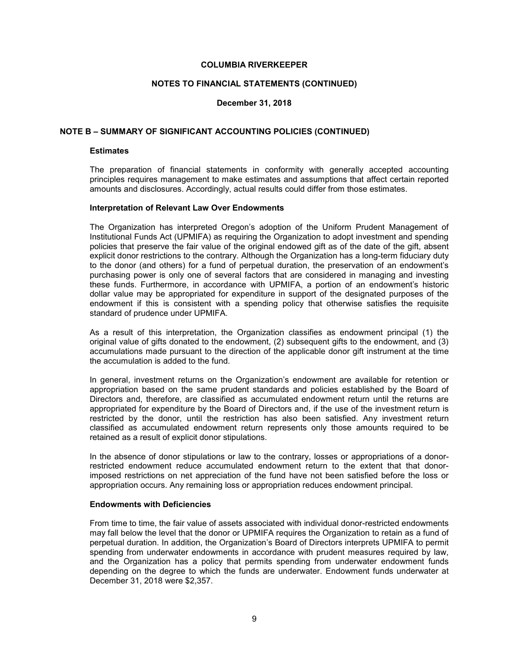### **NOTES TO FINANCIAL STATEMENTS (CONTINUED)**

### **December 31, 2018**

### **NOTE B – SUMMARY OF SIGNIFICANT ACCOUNTING POLICIES (CONTINUED)**

### **Estimates**

The preparation of financial statements in conformity with generally accepted accounting principles requires management to make estimates and assumptions that affect certain reported amounts and disclosures. Accordingly, actual results could differ from those estimates.

### **Interpretation of Relevant Law Over Endowments**

The Organization has interpreted Oregon's adoption of the Uniform Prudent Management of Institutional Funds Act (UPMIFA) as requiring the Organization to adopt investment and spending policies that preserve the fair value of the original endowed gift as of the date of the gift, absent explicit donor restrictions to the contrary. Although the Organization has a long-term fiduciary duty to the donor (and others) for a fund of perpetual duration, the preservation of an endowment's purchasing power is only one of several factors that are considered in managing and investing these funds. Furthermore, in accordance with UPMIFA, a portion of an endowment's historic dollar value may be appropriated for expenditure in support of the designated purposes of the endowment if this is consistent with a spending policy that otherwise satisfies the requisite standard of prudence under UPMIFA.

As a result of this interpretation, the Organization classifies as endowment principal (1) the original value of gifts donated to the endowment, (2) subsequent gifts to the endowment, and (3) accumulations made pursuant to the direction of the applicable donor gift instrument at the time the accumulation is added to the fund.

In general, investment returns on the Organization's endowment are available for retention or appropriation based on the same prudent standards and policies established by the Board of Directors and, therefore, are classified as accumulated endowment return until the returns are appropriated for expenditure by the Board of Directors and, if the use of the investment return is restricted by the donor, until the restriction has also been satisfied. Any investment return classified as accumulated endowment return represents only those amounts required to be retained as a result of explicit donor stipulations.

In the absence of donor stipulations or law to the contrary, losses or appropriations of a donorrestricted endowment reduce accumulated endowment return to the extent that that donorimposed restrictions on net appreciation of the fund have not been satisfied before the loss or appropriation occurs. Any remaining loss or appropriation reduces endowment principal.

### **Endowments with Deficiencies**

From time to time, the fair value of assets associated with individual donor-restricted endowments may fall below the level that the donor or UPMIFA requires the Organization to retain as a fund of perpetual duration. In addition, the Organization's Board of Directors interprets UPMIFA to permit spending from underwater endowments in accordance with prudent measures required by law, and the Organization has a policy that permits spending from underwater endowment funds depending on the degree to which the funds are underwater. Endowment funds underwater at December 31, 2018 were \$2,357.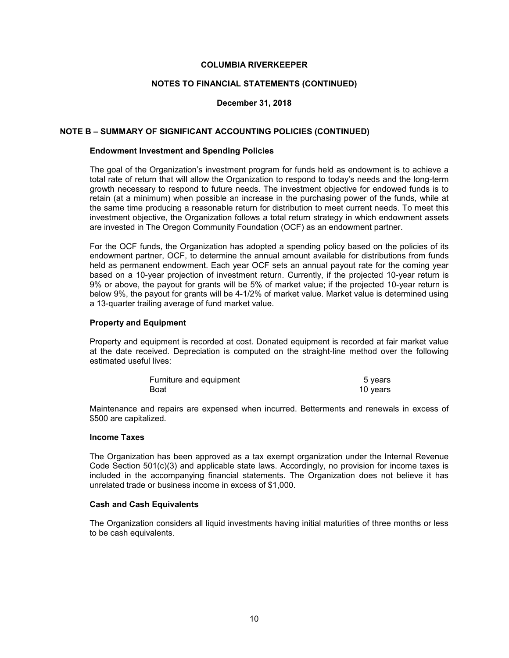### **NOTES TO FINANCIAL STATEMENTS (CONTINUED)**

### **December 31, 2018**

### **NOTE B – SUMMARY OF SIGNIFICANT ACCOUNTING POLICIES (CONTINUED)**

### **Endowment Investment and Spending Policies**

The goal of the Organization's investment program for funds held as endowment is to achieve a total rate of return that will allow the Organization to respond to today's needs and the long-term growth necessary to respond to future needs. The investment objective for endowed funds is to retain (at a minimum) when possible an increase in the purchasing power of the funds, while at the same time producing a reasonable return for distribution to meet current needs. To meet this investment objective, the Organization follows a total return strategy in which endowment assets are invested in The Oregon Community Foundation (OCF) as an endowment partner.

For the OCF funds, the Organization has adopted a spending policy based on the policies of its endowment partner, OCF, to determine the annual amount available for distributions from funds held as permanent endowment. Each year OCF sets an annual payout rate for the coming year based on a 10-year projection of investment return. Currently, if the projected 10-year return is 9% or above, the payout for grants will be 5% of market value; if the projected 10-year return is below 9%, the payout for grants will be 4-1/2% of market value. Market value is determined using a 13-quarter trailing average of fund market value.

### **Property and Equipment**

Property and equipment is recorded at cost. Donated equipment is recorded at fair market value at the date received. Depreciation is computed on the straight-line method over the following estimated useful lives:

| Furniture and equipment | 5 years  |
|-------------------------|----------|
| Boat                    | 10 years |

Maintenance and repairs are expensed when incurred. Betterments and renewals in excess of \$500 are capitalized.

### **Income Taxes**

The Organization has been approved as a tax exempt organization under the Internal Revenue Code Section 501(c)(3) and applicable state laws. Accordingly, no provision for income taxes is included in the accompanying financial statements. The Organization does not believe it has unrelated trade or business income in excess of \$1,000.

### **Cash and Cash Equivalents**

The Organization considers all liquid investments having initial maturities of three months or less to be cash equivalents.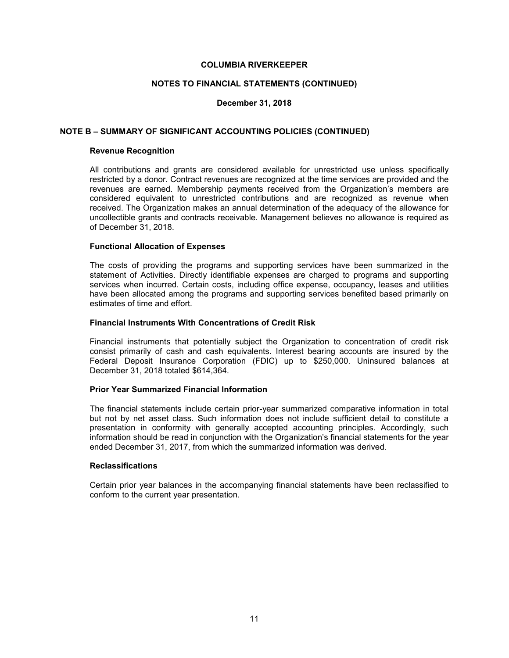### **NOTES TO FINANCIAL STATEMENTS (CONTINUED)**

### **December 31, 2018**

### **NOTE B – SUMMARY OF SIGNIFICANT ACCOUNTING POLICIES (CONTINUED)**

### **Revenue Recognition**

All contributions and grants are considered available for unrestricted use unless specifically restricted by a donor. Contract revenues are recognized at the time services are provided and the revenues are earned. Membership payments received from the Organization's members are considered equivalent to unrestricted contributions and are recognized as revenue when received. The Organization makes an annual determination of the adequacy of the allowance for uncollectible grants and contracts receivable. Management believes no allowance is required as of December 31, 2018.

### **Functional Allocation of Expenses**

The costs of providing the programs and supporting services have been summarized in the statement of Activities. Directly identifiable expenses are charged to programs and supporting services when incurred. Certain costs, including office expense, occupancy, leases and utilities have been allocated among the programs and supporting services benefited based primarily on estimates of time and effort.

### **Financial Instruments With Concentrations of Credit Risk**

Financial instruments that potentially subject the Organization to concentration of credit risk consist primarily of cash and cash equivalents. Interest bearing accounts are insured by the Federal Deposit Insurance Corporation (FDIC) up to \$250,000. Uninsured balances at December 31, 2018 totaled \$614,364.

### **Prior Year Summarized Financial Information**

The financial statements include certain prior-year summarized comparative information in total but not by net asset class. Such information does not include sufficient detail to constitute a presentation in conformity with generally accepted accounting principles. Accordingly, such information should be read in conjunction with the Organization's financial statements for the year ended December 31, 2017, from which the summarized information was derived.

### **Reclassifications**

Certain prior year balances in the accompanying financial statements have been reclassified to conform to the current year presentation.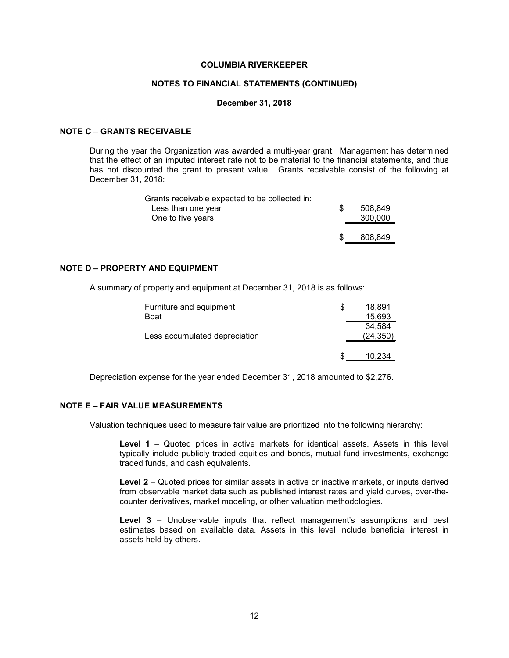### **NOTES TO FINANCIAL STATEMENTS (CONTINUED)**

### **December 31, 2018**

### **NOTE C – GRANTS RECEIVABLE**

During the year the Organization was awarded a multi-year grant. Management has determined that the effect of an imputed interest rate not to be material to the financial statements, and thus has not discounted the grant to present value. Grants receivable consist of the following at December 31, 2018:

| Grants receivable expected to be collected in: |         |
|------------------------------------------------|---------|
| Less than one year                             | 508.849 |
| One to five years                              | 300,000 |
|                                                |         |
|                                                | 808.849 |

### **NOTE D – PROPERTY AND EQUIPMENT**

A summary of property and equipment at December 31, 2018 is as follows:

| 18.891    |
|-----------|
| 15,693    |
| 34.584    |
| (24, 350) |
|           |
| 10,234    |
|           |

Depreciation expense for the year ended December 31, 2018 amounted to \$2,276.

### **NOTE E – FAIR VALUE MEASUREMENTS**

Valuation techniques used to measure fair value are prioritized into the following hierarchy:

**Level 1** – Quoted prices in active markets for identical assets. Assets in this level typically include publicly traded equities and bonds, mutual fund investments, exchange traded funds, and cash equivalents.

**Level 2** – Quoted prices for similar assets in active or inactive markets, or inputs derived from observable market data such as published interest rates and yield curves, over-thecounter derivatives, market modeling, or other valuation methodologies.

**Level 3** – Unobservable inputs that reflect management's assumptions and best estimates based on available data. Assets in this level include beneficial interest in assets held by others.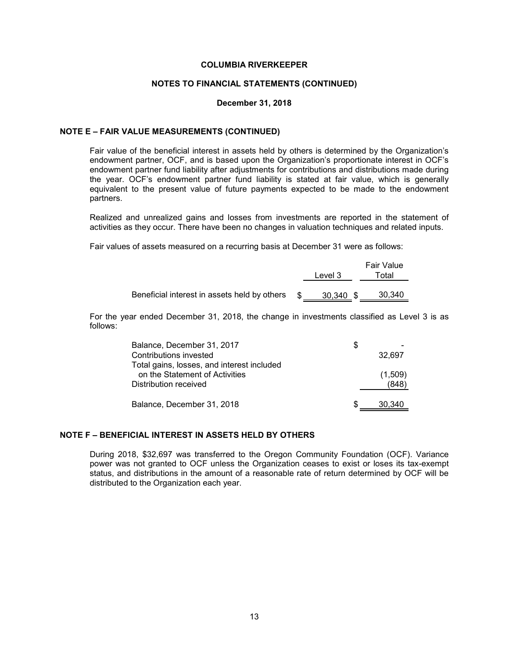### **NOTES TO FINANCIAL STATEMENTS (CONTINUED)**

### **December 31, 2018**

### **NOTE E – FAIR VALUE MEASUREMENTS (CONTINUED)**

Fair value of the beneficial interest in assets held by others is determined by the Organization's endowment partner, OCF, and is based upon the Organization's proportionate interest in OCF's endowment partner fund liability after adjustments for contributions and distributions made during the year. OCF's endowment partner fund liability is stated at fair value, which is generally equivalent to the present value of future payments expected to be made to the endowment partners.

Realized and unrealized gains and losses from investments are reported in the statement of activities as they occur. There have been no changes in valuation techniques and related inputs.

Fair values of assets measured on a recurring basis at December 31 were as follows:

|                                              | Level 3   | Fair Value<br>Total |
|----------------------------------------------|-----------|---------------------|
|                                              |           |                     |
| Beneficial interest in assets held by others | 30.340 \$ | 30,340              |

For the year ended December 31, 2018, the change in investments classified as Level 3 is as follows:

| Balance, December 31, 2017                 | S |         |
|--------------------------------------------|---|---------|
| Contributions invested                     |   | 32.697  |
| Total gains, losses, and interest included |   |         |
| on the Statement of Activities             |   | (1,509) |
| Distribution received                      |   | (848)   |
|                                            |   |         |
| Balance, December 31, 2018                 |   | 30.340  |

### **NOTE F – BENEFICIAL INTEREST IN ASSETS HELD BY OTHERS**

During 2018, \$32,697 was transferred to the Oregon Community Foundation (OCF). Variance power was not granted to OCF unless the Organization ceases to exist or loses its tax-exempt status, and distributions in the amount of a reasonable rate of return determined by OCF will be distributed to the Organization each year.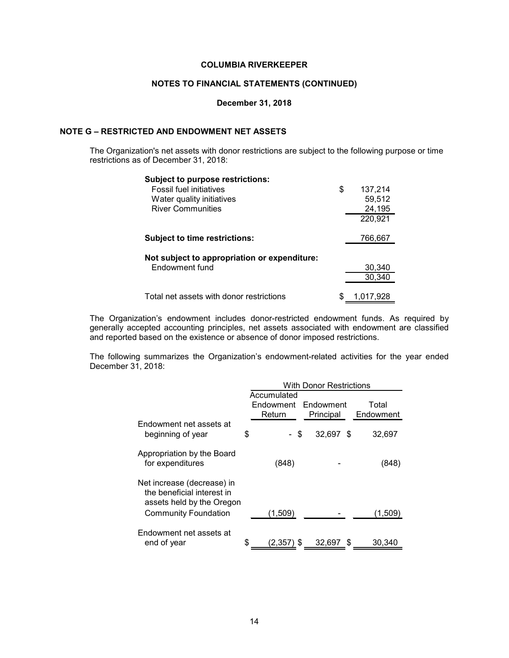### **NOTES TO FINANCIAL STATEMENTS (CONTINUED)**

### **December 31, 2018**

### **NOTE G – RESTRICTED AND ENDOWMENT NET ASSETS**

The Organization's net assets with donor restrictions are subject to the following purpose or time restrictions as of December 31, 2018:

| <b>Subject to purpose restrictions:</b>      |    |           |
|----------------------------------------------|----|-----------|
| <b>Fossil fuel initiatives</b>               | \$ | 137,214   |
| Water quality initiatives                    |    | 59,512    |
| <b>River Communities</b>                     |    | 24,195    |
|                                              |    | 220,921   |
|                                              |    |           |
| <b>Subject to time restrictions:</b>         |    | 766,667   |
|                                              |    |           |
| Not subject to appropriation or expenditure: |    |           |
| Endowment fund                               |    | 30,340    |
|                                              |    | 30,340    |
|                                              |    |           |
| Total net assets with donor restrictions     | S  | 1.017.928 |

The Organization's endowment includes donor-restricted endowment funds. As required by generally accepted accounting principles, net assets associated with endowment are classified and reported based on the existence or absence of donor imposed restrictions.

The following summarizes the Organization's endowment-related activities for the year ended December 31, 2018:

|                                                                                       | <b>With Donor Restrictions</b> |                        |             |           |
|---------------------------------------------------------------------------------------|--------------------------------|------------------------|-------------|-----------|
|                                                                                       |                                | Accumulated            |             |           |
|                                                                                       |                                | Endowment<br>Endowment |             | Total     |
|                                                                                       |                                | Return                 | Principal   | Endowment |
| Endowment net assets at                                                               |                                |                        |             |           |
| beginning of year                                                                     | \$                             | \$                     | 32.697 \$   | 32,697    |
| Appropriation by the Board                                                            |                                |                        |             |           |
| for expenditures                                                                      |                                | (848)                  |             | (848)     |
| Net increase (decrease) in<br>the beneficial interest in<br>assets held by the Oregon |                                |                        |             |           |
| <b>Community Foundation</b>                                                           |                                | (1,509)                |             | (1,509)   |
|                                                                                       |                                |                        |             |           |
| Endowment net assets at                                                               |                                |                        |             |           |
| end of year                                                                           | \$                             | (2.357) \$             | 32,697<br>S | 30,340    |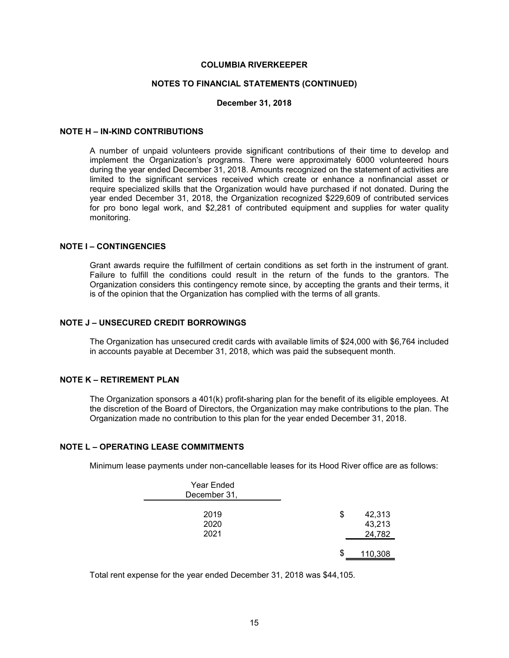### **NOTES TO FINANCIAL STATEMENTS (CONTINUED)**

### **December 31, 2018**

### **NOTE H – IN-KIND CONTRIBUTIONS**

A number of unpaid volunteers provide significant contributions of their time to develop and implement the Organization's programs. There were approximately 6000 volunteered hours during the year ended December 31, 2018. Amounts recognized on the statement of activities are limited to the significant services received which create or enhance a nonfinancial asset or require specialized skills that the Organization would have purchased if not donated. During the year ended December 31, 2018, the Organization recognized \$229,609 of contributed services for pro bono legal work, and \$2,281 of contributed equipment and supplies for water quality monitoring.

### **NOTE I – CONTINGENCIES**

Grant awards require the fulfillment of certain conditions as set forth in the instrument of grant. Failure to fulfill the conditions could result in the return of the funds to the grantors. The Organization considers this contingency remote since, by accepting the grants and their terms, it is of the opinion that the Organization has complied with the terms of all grants.

### **NOTE J – UNSECURED CREDIT BORROWINGS**

The Organization has unsecured credit cards with available limits of \$24,000 with \$6,764 included in accounts payable at December 31, 2018, which was paid the subsequent month.

### **NOTE K – RETIREMENT PLAN**

The Organization sponsors a 401(k) profit-sharing plan for the benefit of its eligible employees. At the discretion of the Board of Directors, the Organization may make contributions to the plan. The Organization made no contribution to this plan for the year ended December 31, 2018.

### **NOTE L – OPERATING LEASE COMMITMENTS**

Minimum lease payments under non-cancellable leases for its Hood River office are as follows:

|              | S  | 24,782<br>110,308 |
|--------------|----|-------------------|
| 2021         |    |                   |
| 2020         |    | 43,213            |
| 2019         | \$ | 42,313            |
|              |    |                   |
| December 31, |    |                   |
| Year Ended   |    |                   |
|              |    |                   |

Total rent expense for the year ended December 31, 2018 was \$44,105.